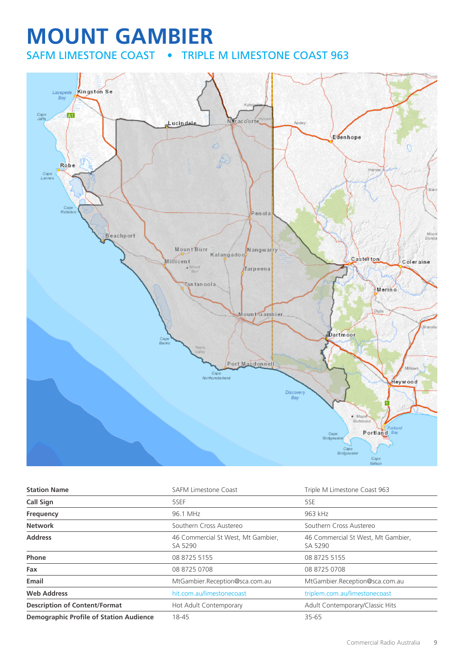## **MOUNT GAMBIER** SAFM LIMESTONE COAST • TRIPLE M LIMESTONE COAST 963



| <b>Station Name</b>                            | <b>SAFM Limestone Coast</b>                   | Triple M Limestone Coast 963                  |
|------------------------------------------------|-----------------------------------------------|-----------------------------------------------|
| Call Sign                                      | 5SEF                                          | 5SE                                           |
| Frequency                                      | 96.1 MHz                                      | 963 kHz                                       |
| <b>Network</b>                                 | Southern Cross Austereo                       | Southern Cross Austereo                       |
| <b>Address</b>                                 | 46 Commercial St West, Mt Gambier,<br>SA 5290 | 46 Commercial St West, Mt Gambier,<br>SA 5290 |
| Phone                                          | 08 8725 5155                                  | 08 8725 5155                                  |
| Fax                                            | 08 8725 0708                                  | 08 8725 0708                                  |
| Email                                          | MtGambier.Reception@sca.com.au                | MtGambier.Reception@sca.com.au                |
| <b>Web Address</b>                             | hit.com.au/limestonecoast                     | triplem.com.au/limestonecoast                 |
| <b>Description of Content/Format</b>           | Hot Adult Contemporary                        | Adult Contemporary/Classic Hits               |
| <b>Demographic Profile of Station Audience</b> | 18-45                                         | 35-65                                         |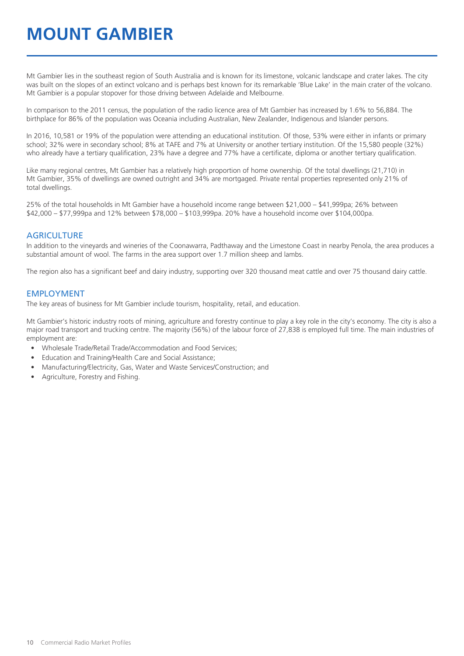## **MOUNT GAMBIER**

Mt Gambier lies in the southeast region of South Australia and is known for its limestone, volcanic landscape and crater lakes. The city was built on the slopes of an extinct volcano and is perhaps best known for its remarkable 'Blue Lake' in the main crater of the volcano. Mt Gambier is a popular stopover for those driving between Adelaide and Melbourne.

In comparison to the 2011 census, the population of the radio licence area of Mt Gambier has increased by 1.6% to 56,884. The birthplace for 86% of the population was Oceania including Australian, New Zealander, Indigenous and Islander persons.

In 2016, 10,581 or 19% of the population were attending an educational institution. Of those, 53% were either in infants or primary school; 32% were in secondary school; 8% at TAFE and 7% at University or another tertiary institution. Of the 15,580 people (32%) who already have a tertiary qualification, 23% have a degree and 77% have a certificate, diploma or another tertiary qualification.

Like many regional centres, Mt Gambier has a relatively high proportion of home ownership. Of the total dwellings (21,710) in Mt Gambier, 35% of dwellings are owned outright and 34% are mortgaged. Private rental properties represented only 21% of total dwellings.

25% of the total households in Mt Gambier have a household income range between \$21,000 – \$41,999pa; 26% between \$42,000 – \$77,999pa and 12% between \$78,000 – \$103,999pa. 20% have a household income over \$104,000pa.

#### **AGRICULTURE**

In addition to the vineyards and wineries of the Coonawarra, Padthaway and the Limestone Coast in nearby Penola, the area produces a substantial amount of wool. The farms in the area support over 1.7 million sheep and lambs.

The region also has a significant beef and dairy industry, supporting over 320 thousand meat cattle and over 75 thousand dairy cattle.

#### EMPLOYMENT

The key areas of business for Mt Gambier include tourism, hospitality, retail, and education.

Mt Gambier's historic industry roots of mining, agriculture and forestry continue to play a key role in the city's economy. The city is also a major road transport and trucking centre. The majority (56%) of the labour force of 27,838 is employed full time. The main industries of employment are:

- Wholesale Trade/Retail Trade/Accommodation and Food Services;
- Education and Training/Health Care and Social Assistance;
- Manufacturing/Electricity, Gas, Water and Waste Services/Construction; and
- Agriculture, Forestry and Fishing.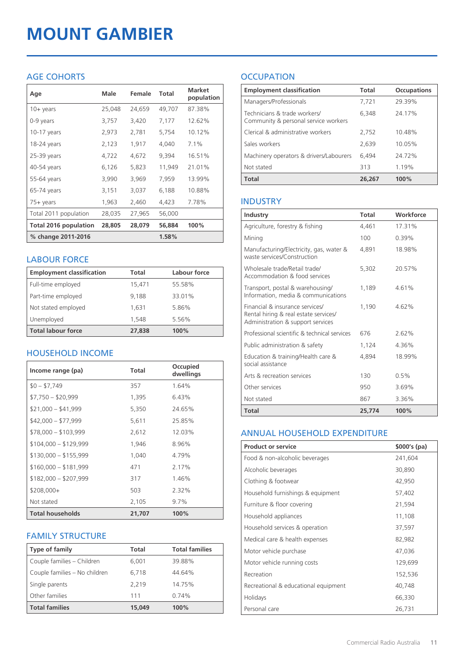# **MOUNT GAMBIER**

#### AGE COHORTS

| Age                          | Male   | Female | Total  | <b>Market</b><br>population |
|------------------------------|--------|--------|--------|-----------------------------|
| $10 + \gamma$ ears           | 25,048 | 24,659 | 49,707 | 87.38%                      |
| 0-9 years                    | 3,757  | 3,420  | 7,177  | 12.62%                      |
| $10-17$ years                | 2,973  | 2,781  | 5,754  | 10.12%                      |
| 18-24 years                  | 2,123  | 1,917  | 4,040  | $7.1\%$                     |
| 25-39 years                  | 4,722  | 4,672  | 9,394  | 16.51%                      |
| 40-54 years                  | 6,126  | 5,823  | 11,949 | 21.01%                      |
| 55-64 years                  | 3,990  | 3,969  | 7,959  | 13.99%                      |
| 65-74 years                  | 3,151  | 3,037  | 6,188  | 10.88%                      |
| $75+$ years                  | 1,963  | 2,460  | 4,423  | 7.78%                       |
| Total 2011 population        | 28,035 | 27,965 | 56,000 |                             |
| <b>Total 2016 population</b> | 28,805 | 28,079 | 56,884 | 100%                        |
| % change 2011-2016           |        |        | 1.58%  |                             |

#### LABOUR FORCE

| <b>Employment classification</b> | Total  | Labour force |
|----------------------------------|--------|--------------|
| Full-time employed               | 15,471 | 55.58%       |
| Part-time employed               | 9,188  | 33.01%       |
| Not stated employed              | 1,631  | 5.86%        |
| Unemployed                       | 1,548  | 5.56%        |
| <b>Total labour force</b>        | 27,838 | 100%         |

#### HOUSEHOLD INCOME

| Income range (pa)       | Total  | Occupied<br>dwellings |
|-------------------------|--------|-----------------------|
| $$0 - $7,749$           | 357    | 1.64%                 |
| $$7,750 - $20,999$      | 1,395  | 6.43%                 |
| $$21,000 - $41,999$     | 5,350  | 24.65%                |
| $$42,000 - $77,999$     | 5,611  | 25.85%                |
| $$78,000 - $103,999$    | 2,612  | 12.03%                |
| $$104,000 - $129,999$   | 1,946  | 8.96%                 |
| $$130,000 - $155,999$   | 1,040  | 4.79%                 |
| $$160,000 - $181,999$   | 471    | 2.17%                 |
| $$182,000 - $207,999$   | 317    | 1.46%                 |
| $$208,000+$             | 503    | 2.32%                 |
| Not stated              | 2,105  | $9.7\%$               |
| <b>Total households</b> | 21,707 | 100%                  |

#### FAMILY STRUCTURE

| <b>Type of family</b>         | Total  | <b>Total families</b> |
|-------------------------------|--------|-----------------------|
| Couple families - Children    | 6,001  | 39.88%                |
| Couple families - No children | 6.718  | 44.64%                |
| Single parents                | 2.219  | 14.75%                |
| Other families                | 111    | 0.74%                 |
| <b>Total families</b>         | 15,049 | 100%                  |

### **OCCUPATION**

| <b>Employment classification</b>                                     | <b>Total</b> | <b>Occupations</b> |
|----------------------------------------------------------------------|--------------|--------------------|
| Managers/Professionals                                               | 7,721        | 29.39%             |
| Technicians & trade workers/<br>Community & personal service workers | 6,348        | 24.17%             |
| Clerical & administrative workers                                    | 2,752        | 10.48%             |
| Sales workers                                                        | 2,639        | 10.05%             |
| Machinery operators & drivers/Labourers                              | 6,494        | 24 72%             |
| Not stated                                                           | 313          | 1.19%              |
| <b>Total</b>                                                         | 26,267       | 100%               |

#### INDUSTRY

| Industry                                                                                                      | Total  | Workforce |
|---------------------------------------------------------------------------------------------------------------|--------|-----------|
| Agriculture, forestry & fishing                                                                               | 4,461  | 17.31%    |
| Mining                                                                                                        | 100    | 0.39%     |
| Manufacturing/Electricity, gas, water &<br>waste services/Construction                                        | 4,891  | 18.98%    |
| Wholesale trade/Retail trade/<br>Accommodation & food services                                                | 5.302  | 2057%     |
| Transport, postal & warehousing/<br>Information, media & communications                                       | 1,189  | 461%      |
| Financial & insurance services/<br>Rental hiring & real estate services/<br>Administration & support services | 1,190  | 4.62%     |
| Professional scientific & technical services                                                                  | 676    | 2.62%     |
| Public administration & safety                                                                                | 1,124  | 4.36%     |
| Education & training/Health care &<br>social assistance                                                       | 4,894  | 18.99%    |
| Arts & recreation services                                                                                    | 130    | 0.5%      |
| Other services                                                                                                | 950    | 3.69%     |
| Not stated                                                                                                    | 867    | 3.36%     |
| <b>Total</b>                                                                                                  | 25,774 | 100%      |

#### ANNUAL HOUSEHOLD EXPENDITURE

| <b>Product or service</b>            | $$000's$ (pa) |
|--------------------------------------|---------------|
| Food & non-alcoholic beverages       | 241,604       |
| Alcoholic beverages                  | 30,890        |
| Clothing & footwear                  | 42,950        |
| Household furnishings & equipment    | 57,402        |
| Furniture & floor covering           | 21,594        |
| Household appliances                 | 11,108        |
| Household services & operation       | 37,597        |
| Medical care & health expenses       | 82,982        |
| Motor vehicle purchase               | 47,036        |
| Motor vehicle running costs          | 129,699       |
| Recreation                           | 152,536       |
| Recreational & educational equipment | 40,748        |
| Holidays                             | 66,330        |
| Personal care                        | 26,731        |